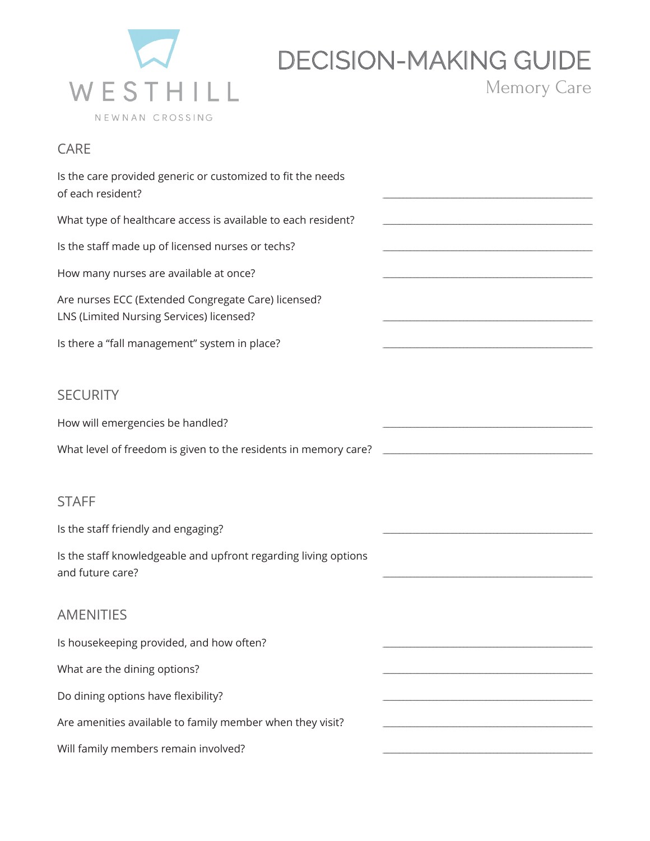

## **DECISION-MAKING GUIDE**

Memory Care

CARE

| Is the care provided generic or customized to fit the needs<br>of each resident?                |  |
|-------------------------------------------------------------------------------------------------|--|
| What type of healthcare access is available to each resident?                                   |  |
| Is the staff made up of licensed nurses or techs?                                               |  |
| How many nurses are available at once?                                                          |  |
| Are nurses ECC (Extended Congregate Care) licensed?<br>LNS (Limited Nursing Services) licensed? |  |
| Is there a "fall management" system in place?                                                   |  |
|                                                                                                 |  |
| <b>SECURITY</b>                                                                                 |  |
| How will emergencies be handled?                                                                |  |
| What level of freedom is given to the residents in memory care?                                 |  |
|                                                                                                 |  |
| <b>STAFF</b>                                                                                    |  |
| Is the staff friendly and engaging?                                                             |  |
| Is the staff knowledgeable and upfront regarding living options<br>and future care?             |  |
|                                                                                                 |  |
| <b>AMENITIES</b>                                                                                |  |
| Is housekeeping provided, and how often?                                                        |  |
| What are the dining options?                                                                    |  |
| Do dining options have flexibility?                                                             |  |
| Are amenities available to family member when they visit?                                       |  |

Will family members remain involved?